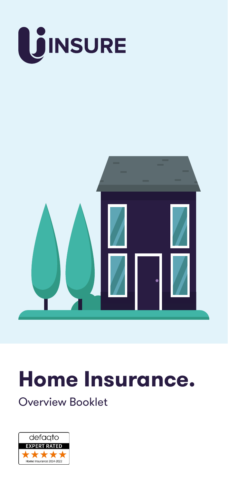

# **Home Insurance.**

Overview Booklet

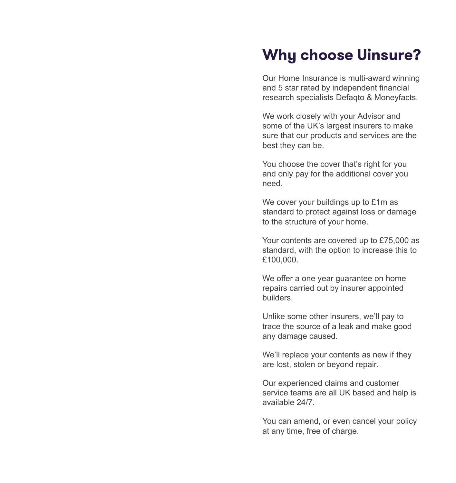### **Why choose Uinsure?**

Our Home Insurance is multi-award winning and 5 star rated by independent financial research specialists Defaqto & Moneyfacts.

We work closely with your Advisor and some of the UK's largest insurers to make sure that our products and services are the best they can be.

You choose the cover that's right for you and only pay for the additional cover you need.

We cover your buildings up to £1m as standard to protect against loss or damage to the structure of your home.

Your contents are covered up to £75,000 as standard, with the option to increase this to £100,000.

We offer a one year quarantee on home repairs carried out by insurer appointed builders.

Unlike some other insurers, we'll pay to trace the source of a leak and make good any damage caused.

We'll replace your contents as new if they are lost, stolen or beyond repair.

Our experienced claims and customer service teams are all UK based and help is available 24/7.

You can amend, or even cancel your policy at any time, free of charge.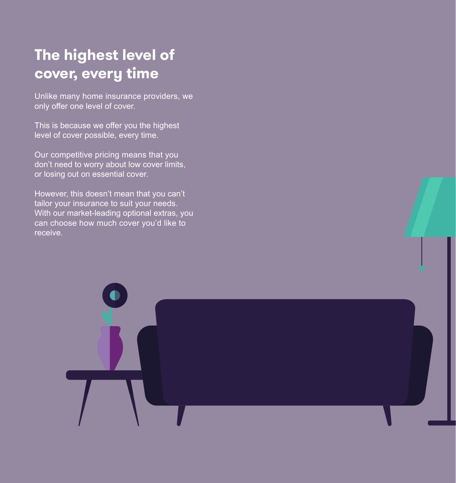## **The highest level of cover, every time**

Unlike many home insurance providers, we only offer one level of cover.

This is because we offer you the highest level of cover possible, every time.

Our competitive pricing means that you don't need to worry about low cover limits, or losing out on essential cover.

However, this doesn't mean that you can't tailor your insurance to suit your needs. With our market-leading optional extras, you can choose how much cover you'd like to receive.

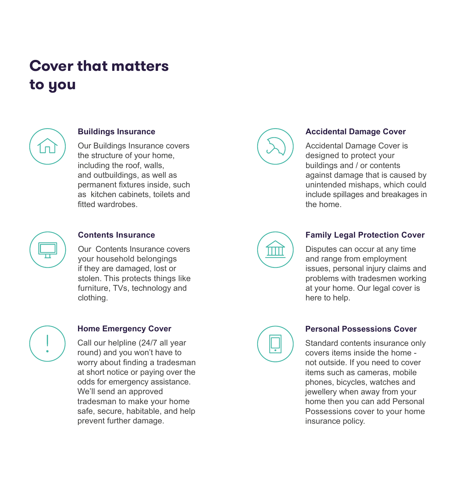### **Cover that matters to you**



#### **Buildings Insurance**

Our Buildings Insurance covers the structure of your home, including the roof, walls, and outbuildings, as well as permanent fixtures inside, such as kitchen cabinets, toilets and fitted wardrobes.



#### **Contents Insurance**

Our Contents Insurance covers your household belongings if they are damaged, lost or stolen. This protects things like furniture, TVs, technology and clothing.



### **Home Emergency Cover**

Call our helpline (24/7 all year round) and you won't have to worry about finding a tradesman at short notice or paying over the odds for emergency assistance. We'll send an approved tradesman to make your home safe, secure, habitable, and help prevent further damage.



### **Accidental Damage Cover**

Accidental Damage Cover is designed to protect your buildings and / or contents against damage that is caused by unintended mishaps, which could include spillages and breakages in the home.



### **Family Legal Protection Cover**

Disputes can occur at any time and range from employment issues, personal injury claims and problems with tradesmen working at your home. Our legal cover is here to help.



### **Personal Possessions Cover**

Standard contents insurance only covers items inside the home not outside. If you need to cover items such as cameras, mobile phones, bicycles, watches and jewellery when away from your home then you can add Personal Possessions cover to your home insurance policy.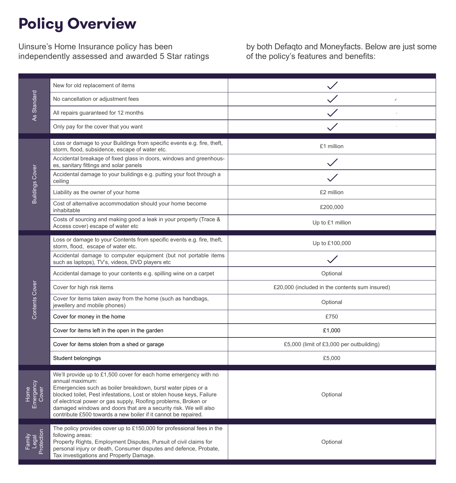### **Policy Overview**

Uinsure's Home Insurance policy has been independently assessed and awarded 5 Star ratings by both Defaqto and Moneyfacts. Below are just some of the policy's features and benefits:

| Standard<br>4s             | New for old replacement of items                                                                                                                                                                                                                                                                                                                                                                                                     |                                                |
|----------------------------|--------------------------------------------------------------------------------------------------------------------------------------------------------------------------------------------------------------------------------------------------------------------------------------------------------------------------------------------------------------------------------------------------------------------------------------|------------------------------------------------|
|                            | No cancellation or adjustment fees                                                                                                                                                                                                                                                                                                                                                                                                   | 1                                              |
|                            | All repairs guaranteed for 12 months                                                                                                                                                                                                                                                                                                                                                                                                 |                                                |
|                            | Only pay for the cover that you want                                                                                                                                                                                                                                                                                                                                                                                                 |                                                |
| <b>Buildings Cover</b>     | Loss or damage to your Buildings from specific events e.g. fire, theft,<br>storm, flood, subsidence, escape of water etc.                                                                                                                                                                                                                                                                                                            | £1 million                                     |
|                            | Accidental breakage of fixed glass in doors, windows and greenhous-<br>es, sanitary fittings and solar panels                                                                                                                                                                                                                                                                                                                        |                                                |
|                            | Accidental damage to your buildings e.g. putting your foot through a<br>ceiling                                                                                                                                                                                                                                                                                                                                                      |                                                |
|                            | Liability as the owner of your home                                                                                                                                                                                                                                                                                                                                                                                                  | £2 million                                     |
|                            | Cost of alternative accommodation should your home become<br>inhabitable                                                                                                                                                                                                                                                                                                                                                             | £200,000                                       |
|                            | Costs of sourcing and making good a leak in your property (Trace &<br>Access cover) escape of water etc                                                                                                                                                                                                                                                                                                                              | Up to £1 million                               |
| Contents Cover             | Loss or damage to your Contents from specific events e.g. fire, theft,<br>storm, flood, escape of water etc.                                                                                                                                                                                                                                                                                                                         | Up to £100,000                                 |
|                            | Accidental damage to computer equipment (but not portable items<br>such as laptops), TV's, videos, DVD players etc                                                                                                                                                                                                                                                                                                                   |                                                |
|                            | Accidental damage to your contents e.g. spilling wine on a carpet                                                                                                                                                                                                                                                                                                                                                                    | Optional                                       |
|                            | Cover for high risk items                                                                                                                                                                                                                                                                                                                                                                                                            | £20,000 (included in the contents sum insured) |
|                            | Cover for items taken away from the home (such as handbags,<br>jewellery and mobile phones)                                                                                                                                                                                                                                                                                                                                          | Optional                                       |
|                            | Cover for money in the home                                                                                                                                                                                                                                                                                                                                                                                                          | £750                                           |
|                            | Cover for items left in the open in the garden                                                                                                                                                                                                                                                                                                                                                                                       | £1,000                                         |
|                            | Cover for items stolen from a shed or garage                                                                                                                                                                                                                                                                                                                                                                                         | £5,000 (limit of £3,000 per outbuilding)       |
|                            | Student belongings                                                                                                                                                                                                                                                                                                                                                                                                                   | £5,000                                         |
| Emergency<br>Home<br>Cover | We'll provide up to £1,500 cover for each home emergency with no<br>annual maximum:<br>Emergencies such as boiler breakdown, burst water pipes or a<br>blocked toilet, Pest infestations, Lost or stolen house keys, Failure<br>of electrical power or gas supply, Roofing problems, Broken or<br>damaged windows and doors that are a security risk. We will also<br>contribute £500 towards a new boiler if it cannot be repaired. | Optional                                       |
| Protection<br>Family       | The policy provides cover up to £150,000 for professional fees in the<br>following areas:<br>Property Rights, Employment Disputes, Pursuit of civil claims for<br>personal injury or death, Consumer disputes and defence, Probate,<br>Tax investigations and Property Damage.                                                                                                                                                       | Optional                                       |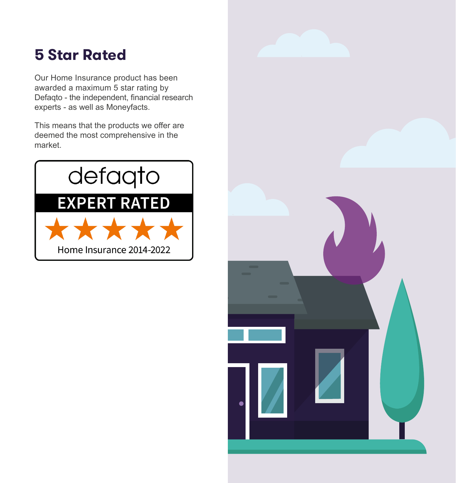### **5 Star Rated**

Our Home Insurance product has been awarded a maximum 5 star rating by Defaqto - the independent, financial research experts - as well as Moneyfacts.

This means that the products we offer are deemed the most comprehensive in the market.